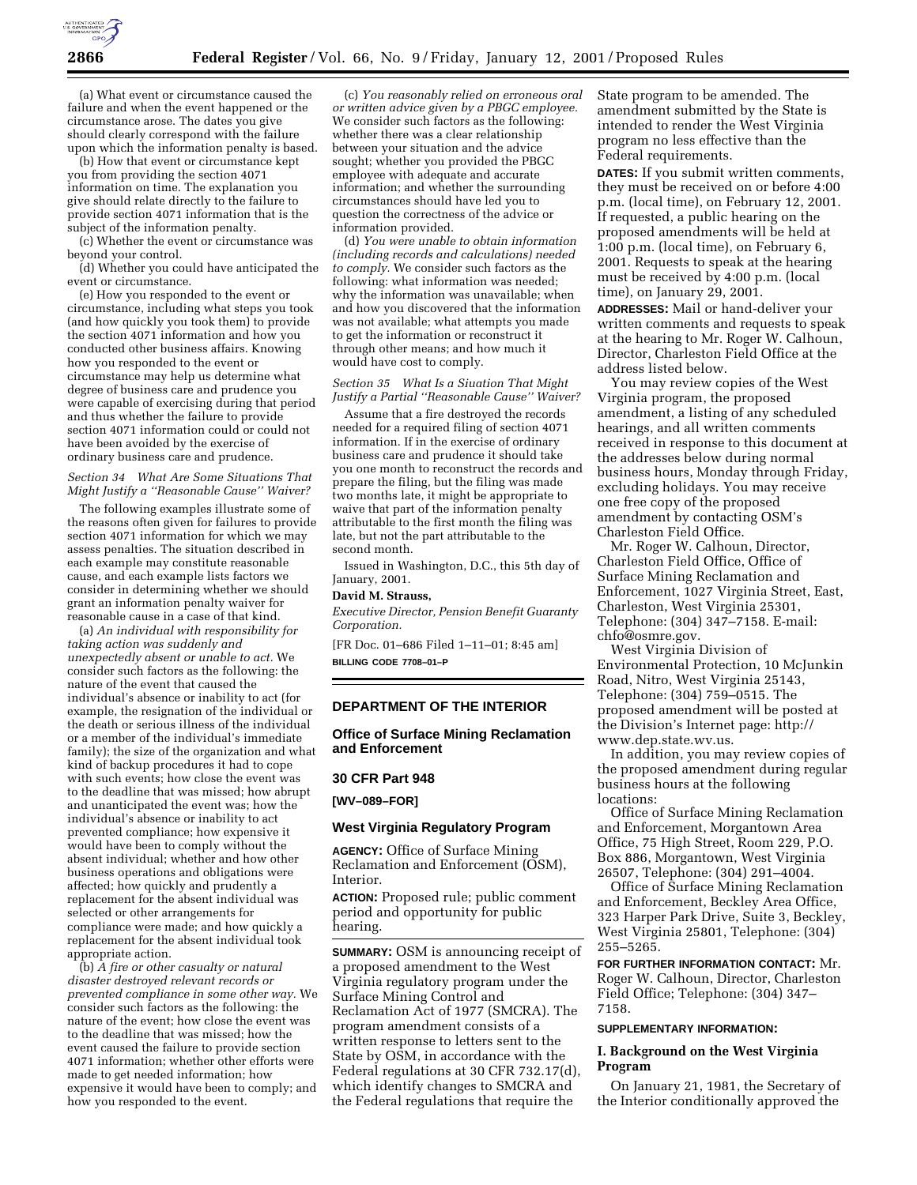

(a) What event or circumstance caused the failure and when the event happened or the circumstance arose. The dates you give should clearly correspond with the failure upon which the information penalty is based.

(b) How that event or circumstance kept you from providing the section 4071 information on time. The explanation you give should relate directly to the failure to provide section 4071 information that is the subject of the information penalty.

(c) Whether the event or circumstance was beyond your control.

(d) Whether you could have anticipated the event or circumstance.

(e) How you responded to the event or circumstance, including what steps you took (and how quickly you took them) to provide the section 4071 information and how you conducted other business affairs. Knowing how you responded to the event or circumstance may help us determine what degree of business care and prudence you were capable of exercising during that period and thus whether the failure to provide section 4071 information could or could not have been avoided by the exercise of ordinary business care and prudence.

## *Section 34 What Are Some Situations That Might Justify a ''Reasonable Cause'' Waiver?*

The following examples illustrate some of the reasons often given for failures to provide section 4071 information for which we may assess penalties. The situation described in each example may constitute reasonable cause, and each example lists factors we consider in determining whether we should grant an information penalty waiver for reasonable cause in a case of that kind.

(a) *An individual with responsibility for taking action was suddenly and unexpectedly absent or unable to act.* We consider such factors as the following: the nature of the event that caused the individual's absence or inability to act (for example, the resignation of the individual or the death or serious illness of the individual or a member of the individual's immediate family); the size of the organization and what kind of backup procedures it had to cope with such events; how close the event was to the deadline that was missed; how abrupt and unanticipated the event was; how the individual's absence or inability to act prevented compliance; how expensive it would have been to comply without the absent individual; whether and how other business operations and obligations were affected; how quickly and prudently a replacement for the absent individual was selected or other arrangements for compliance were made; and how quickly a replacement for the absent individual took appropriate action.

(b) *A fire or other casualty or natural disaster destroyed relevant records or prevented compliance in some other way.* We consider such factors as the following: the nature of the event; how close the event was to the deadline that was missed; how the event caused the failure to provide section 4071 information; whether other efforts were made to get needed information; how expensive it would have been to comply; and how you responded to the event.

(c) *You reasonably relied on erroneous oral or written advice given by a PBGC employee.* We consider such factors as the following: whether there was a clear relationship between your situation and the advice sought; whether you provided the PBGC employee with adequate and accurate information; and whether the surrounding circumstances should have led you to question the correctness of the advice or information provided.

(d) *You were unable to obtain information (including records and calculations) needed to comply.* We consider such factors as the following: what information was needed; why the information was unavailable; when and how you discovered that the information was not available; what attempts you made to get the information or reconstruct it through other means; and how much it would have cost to comply.

# *Section 35 What Is a Siuation That Might Justify a Partial ''Reasonable Cause'' Waiver?*

Assume that a fire destroyed the records needed for a required filing of section 4071 information. If in the exercise of ordinary business care and prudence it should take you one month to reconstruct the records and prepare the filing, but the filing was made two months late, it might be appropriate to waive that part of the information penalty attributable to the first month the filing was late, but not the part attributable to the second month.

Issued in Washington, D.C., this 5th day of January, 2001.

#### **David M. Strauss,**

*Executive Director, Pension Benefit Guaranty Corporation.*

[FR Doc. 01–686 Filed 1–11–01; 8:45 am] **BILLING CODE 7708–01–P**

# **DEPARTMENT OF THE INTERIOR**

**Office of Surface Mining Reclamation and Enforcement**

#### **30 CFR Part 948**

# **[WV–089–FOR]**

# **West Virginia Regulatory Program**

**AGENCY:** Office of Surface Mining Reclamation and Enforcement (OSM), Interior.

**ACTION:** Proposed rule; public comment period and opportunity for public hearing.

**SUMMARY:** OSM is announcing receipt of a proposed amendment to the West Virginia regulatory program under the Surface Mining Control and Reclamation Act of 1977 (SMCRA). The program amendment consists of a written response to letters sent to the State by OSM, in accordance with the Federal regulations at 30 CFR 732.17(d), which identify changes to SMCRA and the Federal regulations that require the

State program to be amended. The amendment submitted by the State is intended to render the West Virginia program no less effective than the Federal requirements.

**DATES:** If you submit written comments, they must be received on or before 4:00 p.m. (local time), on February 12, 2001. If requested, a public hearing on the proposed amendments will be held at 1:00 p.m. (local time), on February 6, 2001. Requests to speak at the hearing must be received by 4:00 p.m. (local time), on January 29, 2001.

**ADDRESSES:** Mail or hand-deliver your written comments and requests to speak at the hearing to Mr. Roger W. Calhoun, Director, Charleston Field Office at the address listed below.

You may review copies of the West Virginia program, the proposed amendment, a listing of any scheduled hearings, and all written comments received in response to this document at the addresses below during normal business hours, Monday through Friday, excluding holidays. You may receive one free copy of the proposed amendment by contacting OSM's Charleston Field Office.

Mr. Roger W. Calhoun, Director, Charleston Field Office, Office of Surface Mining Reclamation and Enforcement, 1027 Virginia Street, East, Charleston, West Virginia 25301, Telephone: (304) 347–7158. E-mail: chfo@osmre.gov.

West Virginia Division of Environmental Protection, 10 McJunkin Road, Nitro, West Virginia 25143, Telephone: (304) 759–0515. The proposed amendment will be posted at the Division's Internet page: http:// www.dep.state.wv.us.

In addition, you may review copies of the proposed amendment during regular business hours at the following locations:

Office of Surface Mining Reclamation and Enforcement, Morgantown Area Office, 75 High Street, Room 229, P.O. Box 886, Morgantown, West Virginia 26507, Telephone: (304) 291–4004.

Office of Surface Mining Reclamation and Enforcement, Beckley Area Office, 323 Harper Park Drive, Suite 3, Beckley, West Virginia 25801, Telephone: (304) 255–5265.

**FOR FURTHER INFORMATION CONTACT:** Mr. Roger W. Calhoun, Director, Charleston Field Office; Telephone: (304) 347– 7158.

#### **SUPPLEMENTARY INFORMATION:**

# **I. Background on the West Virginia Program**

On January 21, 1981, the Secretary of the Interior conditionally approved the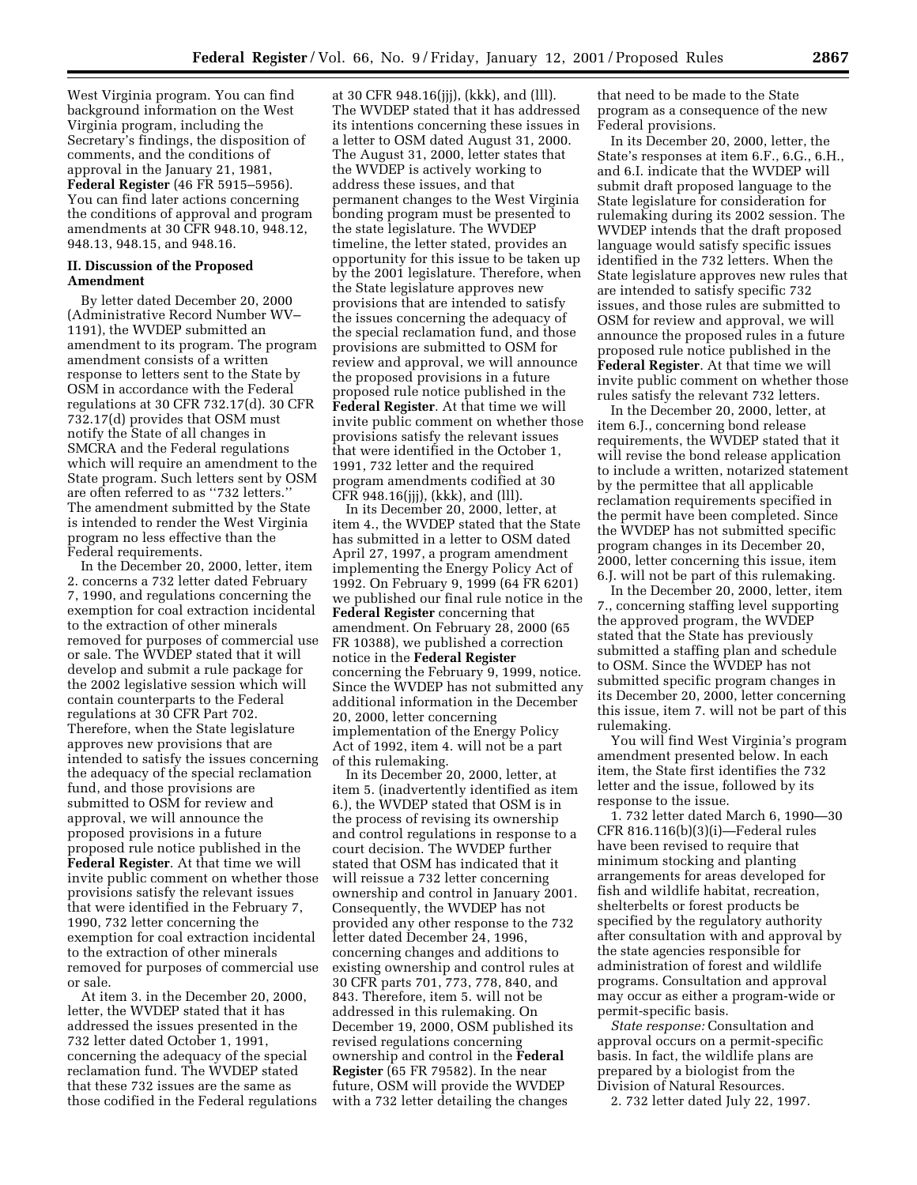West Virginia program. You can find background information on the West Virginia program, including the Secretary's findings, the disposition of comments, and the conditions of approval in the January 21, 1981, **Federal Register** (46 FR 5915–5956). You can find later actions concerning the conditions of approval and program amendments at 30 CFR 948.10, 948.12, 948.13, 948.15, and 948.16.

# **II. Discussion of the Proposed Amendment**

By letter dated December 20, 2000 (Administrative Record Number WV– 1191), the WVDEP submitted an amendment to its program. The program amendment consists of a written response to letters sent to the State by OSM in accordance with the Federal regulations at 30 CFR 732.17(d). 30 CFR 732.17(d) provides that OSM must notify the State of all changes in SMCRA and the Federal regulations which will require an amendment to the State program. Such letters sent by OSM are often referred to as ''732 letters.'' The amendment submitted by the State is intended to render the West Virginia program no less effective than the Federal requirements.

In the December 20, 2000, letter, item 2. concerns a 732 letter dated February 7, 1990, and regulations concerning the exemption for coal extraction incidental to the extraction of other minerals removed for purposes of commercial use or sale. The WVDEP stated that it will develop and submit a rule package for the 2002 legislative session which will contain counterparts to the Federal regulations at 30 CFR Part 702. Therefore, when the State legislature approves new provisions that are intended to satisfy the issues concerning the adequacy of the special reclamation fund, and those provisions are submitted to OSM for review and approval, we will announce the proposed provisions in a future proposed rule notice published in the **Federal Register**. At that time we will invite public comment on whether those provisions satisfy the relevant issues that were identified in the February 7, 1990, 732 letter concerning the exemption for coal extraction incidental to the extraction of other minerals removed for purposes of commercial use or sale.

At item 3. in the December 20, 2000, letter, the WVDEP stated that it has addressed the issues presented in the 732 letter dated October 1, 1991, concerning the adequacy of the special reclamation fund. The WVDEP stated that these 732 issues are the same as those codified in the Federal regulations

at 30 CFR 948.16(jjj), (kkk), and (lll). The WVDEP stated that it has addressed its intentions concerning these issues in a letter to OSM dated August 31, 2000. The August 31, 2000, letter states that the WVDEP is actively working to address these issues, and that permanent changes to the West Virginia bonding program must be presented to the state legislature. The WVDEP timeline, the letter stated, provides an opportunity for this issue to be taken up by the 2001 legislature. Therefore, when the State legislature approves new provisions that are intended to satisfy the issues concerning the adequacy of the special reclamation fund, and those provisions are submitted to OSM for review and approval, we will announce the proposed provisions in a future proposed rule notice published in the **Federal Register**. At that time we will invite public comment on whether those provisions satisfy the relevant issues that were identified in the October 1, 1991, 732 letter and the required program amendments codified at 30 CFR 948.16(jjj), (kkk), and (lll).

In its December 20, 2000, letter, at item 4., the WVDEP stated that the State has submitted in a letter to OSM dated April 27, 1997, a program amendment implementing the Energy Policy Act of 1992. On February 9, 1999 (64 FR 6201) we published our final rule notice in the **Federal Register** concerning that amendment. On February 28, 2000 (65 FR 10388), we published a correction notice in the **Federal Register** concerning the February 9, 1999, notice. Since the WVDEP has not submitted any additional information in the December 20, 2000, letter concerning implementation of the Energy Policy Act of 1992, item 4. will not be a part of this rulemaking.

In its December 20, 2000, letter, at item 5. (inadvertently identified as item 6.), the WVDEP stated that OSM is in the process of revising its ownership and control regulations in response to a court decision. The WVDEP further stated that OSM has indicated that it will reissue a 732 letter concerning ownership and control in January 2001. Consequently, the WVDEP has not provided any other response to the 732 letter dated December 24, 1996, concerning changes and additions to existing ownership and control rules at 30 CFR parts 701, 773, 778, 840, and 843. Therefore, item 5. will not be addressed in this rulemaking. On December 19, 2000, OSM published its revised regulations concerning ownership and control in the **Federal Register** (65 FR 79582). In the near future, OSM will provide the WVDEP with a 732 letter detailing the changes

that need to be made to the State program as a consequence of the new Federal provisions.

In its December 20, 2000, letter, the State's responses at item 6.F., 6.G., 6.H., and 6.I. indicate that the WVDEP will submit draft proposed language to the State legislature for consideration for rulemaking during its 2002 session. The WVDEP intends that the draft proposed language would satisfy specific issues identified in the 732 letters. When the State legislature approves new rules that are intended to satisfy specific 732 issues, and those rules are submitted to OSM for review and approval, we will announce the proposed rules in a future proposed rule notice published in the **Federal Register**. At that time we will invite public comment on whether those rules satisfy the relevant 732 letters.

In the December 20, 2000, letter, at item 6.J., concerning bond release requirements, the WVDEP stated that it will revise the bond release application to include a written, notarized statement by the permittee that all applicable reclamation requirements specified in the permit have been completed. Since the WVDEP has not submitted specific program changes in its December 20, 2000, letter concerning this issue, item 6.J. will not be part of this rulemaking.

In the December 20, 2000, letter, item 7., concerning staffing level supporting the approved program, the WVDEP stated that the State has previously submitted a staffing plan and schedule to OSM. Since the WVDEP has not submitted specific program changes in its December 20, 2000, letter concerning this issue, item 7. will not be part of this rulemaking.

You will find West Virginia's program amendment presented below. In each item, the State first identifies the 732 letter and the issue, followed by its response to the issue.

1. 732 letter dated March 6, 1990—30 CFR 816.116(b)(3)(i)—Federal rules have been revised to require that minimum stocking and planting arrangements for areas developed for fish and wildlife habitat, recreation, shelterbelts or forest products be specified by the regulatory authority after consultation with and approval by the state agencies responsible for administration of forest and wildlife programs. Consultation and approval may occur as either a program-wide or permit-specific basis.

*State response:* Consultation and approval occurs on a permit-specific basis. In fact, the wildlife plans are prepared by a biologist from the Division of Natural Resources.

2. 732 letter dated July 22, 1997.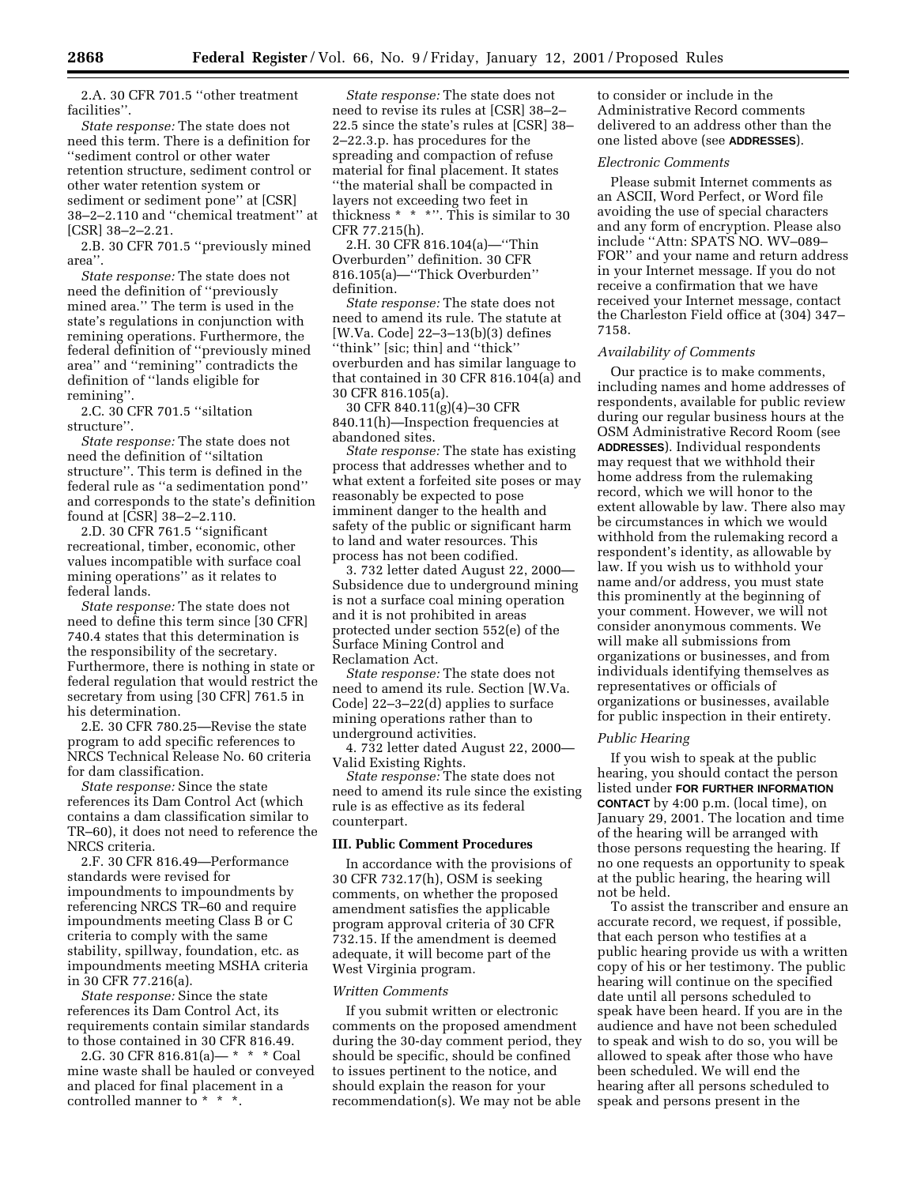2.A. 30 CFR 701.5 ''other treatment facilities''.

*State response:* The state does not need this term. There is a definition for ''sediment control or other water retention structure, sediment control or other water retention system or sediment or sediment pone'' at [CSR] 38–2–2.110 and ''chemical treatment'' at  $|CSR|$  38–2–2.21.

2.B. 30 CFR 701.5 ''previously mined area''.

*State response:* The state does not need the definition of ''previously mined area.'' The term is used in the state's regulations in conjunction with remining operations. Furthermore, the federal definition of ''previously mined area'' and ''remining'' contradicts the definition of ''lands eligible for remining''.

2.C. 30 CFR 701.5 ''siltation structure''.

*State response:* The state does not need the definition of ''siltation structure''. This term is defined in the federal rule as ''a sedimentation pond'' and corresponds to the state's definition found at [CSR] 38–2–2.110.

2.D. 30 CFR 761.5 ''significant recreational, timber, economic, other values incompatible with surface coal mining operations'' as it relates to federal lands.

*State response:* The state does not need to define this term since [30 CFR] 740.4 states that this determination is the responsibility of the secretary. Furthermore, there is nothing in state or federal regulation that would restrict the secretary from using [30 CFR] 761.5 in his determination.

2.E. 30 CFR 780.25—Revise the state program to add specific references to NRCS Technical Release No. 60 criteria for dam classification.

*State response:* Since the state references its Dam Control Act (which contains a dam classification similar to TR–60), it does not need to reference the NRCS criteria.

2.F. 30 CFR 816.49—Performance standards were revised for impoundments to impoundments by referencing NRCS TR–60 and require impoundments meeting Class B or C criteria to comply with the same stability, spillway, foundation, etc. as impoundments meeting MSHA criteria in 30 CFR 77.216(a).

*State response:* Since the state references its Dam Control Act, its requirements contain similar standards to those contained in 30 CFR 816.49.

2.G. 30 CFR 816.81(a)— \* \* \* Coal mine waste shall be hauled or conveyed and placed for final placement in a controlled manner to \* \* \*.

*State response:* The state does not need to revise its rules at [CSR] 38–2– 22.5 since the state's rules at [CSR] 38– 2–22.3.p. has procedures for the spreading and compaction of refuse material for final placement. It states ''the material shall be compacted in layers not exceeding two feet in thickness \* \* \*''. This is similar to 30 CFR 77.215(h).

2.H. 30 CFR 816.104(a)—''Thin Overburden'' definition. 30 CFR 816.105(a)—''Thick Overburden'' definition.

*State response:* The state does not need to amend its rule. The statute at [W.Va. Code] 22–3–13(b)(3) defines ''think'' [sic; thin] and ''thick'' overburden and has similar language to that contained in 30 CFR 816.104(a) and 30 CFR 816.105(a).

30 CFR 840.11(g)(4)–30 CFR 840.11(h)—Inspection frequencies at abandoned sites.

*State response:* The state has existing process that addresses whether and to what extent a forfeited site poses or may reasonably be expected to pose imminent danger to the health and safety of the public or significant harm to land and water resources. This process has not been codified.

3. 732 letter dated August 22, 2000— Subsidence due to underground mining is not a surface coal mining operation and it is not prohibited in areas protected under section 552(e) of the Surface Mining Control and Reclamation Act.

*State response:* The state does not need to amend its rule. Section [W.Va. Code] 22–3–22(d) applies to surface mining operations rather than to underground activities.

4. 732 letter dated August 22, 2000— Valid Existing Rights.

*State response:* The state does not need to amend its rule since the existing rule is as effective as its federal counterpart.

#### **III. Public Comment Procedures**

In accordance with the provisions of 30 CFR 732.17(h), OSM is seeking comments, on whether the proposed amendment satisfies the applicable program approval criteria of 30 CFR 732.15. If the amendment is deemed adequate, it will become part of the West Virginia program.

## *Written Comments*

If you submit written or electronic comments on the proposed amendment during the 30-day comment period, they should be specific, should be confined to issues pertinent to the notice, and should explain the reason for your recommendation(s). We may not be able

to consider or include in the Administrative Record comments delivered to an address other than the one listed above (see **ADDRESSES**).

#### *Electronic Comments*

Please submit Internet comments as an ASCII, Word Perfect, or Word file avoiding the use of special characters and any form of encryption. Please also include ''Attn: SPATS NO. WV–089– FOR'' and your name and return address in your Internet message. If you do not receive a confirmation that we have received your Internet message, contact the Charleston Field office at (304) 347– 7158.

#### *Availability of Comments*

Our practice is to make comments, including names and home addresses of respondents, available for public review during our regular business hours at the OSM Administrative Record Room (see **ADDRESSES**). Individual respondents may request that we withhold their home address from the rulemaking record, which we will honor to the extent allowable by law. There also may be circumstances in which we would withhold from the rulemaking record a respondent's identity, as allowable by law. If you wish us to withhold your name and/or address, you must state this prominently at the beginning of your comment. However, we will not consider anonymous comments. We will make all submissions from organizations or businesses, and from individuals identifying themselves as representatives or officials of organizations or businesses, available for public inspection in their entirety.

# *Public Hearing*

If you wish to speak at the public hearing, you should contact the person listed under **FOR FURTHER INFORMATION CONTACT** by 4:00 p.m. (local time), on January 29, 2001. The location and time of the hearing will be arranged with those persons requesting the hearing. If no one requests an opportunity to speak at the public hearing, the hearing will not be held.

To assist the transcriber and ensure an accurate record, we request, if possible, that each person who testifies at a public hearing provide us with a written copy of his or her testimony. The public hearing will continue on the specified date until all persons scheduled to speak have been heard. If you are in the audience and have not been scheduled to speak and wish to do so, you will be allowed to speak after those who have been scheduled. We will end the hearing after all persons scheduled to speak and persons present in the